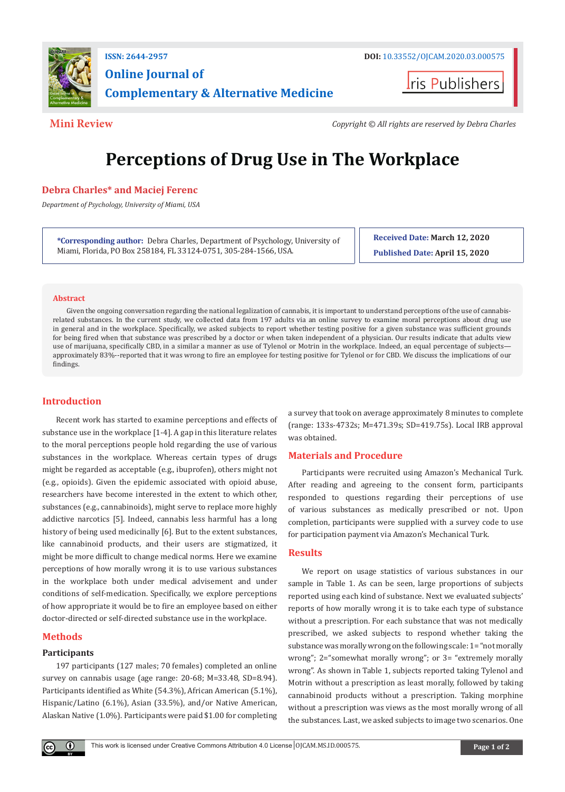

## **ISSN: 2644-2957 DOI:** [10.33552/OJCAM.2020.03.00057](http://dx.doi.org/10.33552/OJCAM.2020.03.000575)<sup>5</sup> **Online Journal of Complementary & Alternative Medicine**

**I**ris Publishers

**Mini Review** *Copyright © All rights are reserved by Debra Charles*

# **Perceptions of Drug Use in The Workplace**

#### **Debra Charles\* and Maciej Ferenc**

*Department of Psychology, University of Miami, USA*

**\*Corresponding author:** Debra Charles, Department of Psychology, University of Miami, Florida, PO Box 258184, FL 33124-0751, 305-284-1566, USA.

**Received Date: March 12, 2020**

**Published Date: April 15, 2020**

#### **Abstract**

Given the ongoing conversation regarding the national legalization of cannabis, it is important to understand perceptions of the use of cannabisrelated substances. In the current study, we collected data from 197 adults via an online survey to examine moral perceptions about drug use in general and in the workplace. Specifically, we asked subjects to report whether testing positive for a given substance was sufficient grounds for being fired when that substance was prescribed by a doctor or when taken independent of a physician. Our results indicate that adults view use of marijuana, specifically CBD, in a similar a manner as use of Tylenol or Motrin in the workplace. Indeed, an equal percentage of subjects approximately 83%--reported that it was wrong to fire an employee for testing positive for Tylenol or for CBD. We discuss the implications of our findings.

### **Introduction**

Recent work has started to examine perceptions and effects of substance use in the workplace [1-4]. A gap in this literature relates to the moral perceptions people hold regarding the use of various substances in the workplace. Whereas certain types of drugs might be regarded as acceptable (e.g., ibuprofen), others might not (e.g., opioids). Given the epidemic associated with opioid abuse, researchers have become interested in the extent to which other, substances (e.g., cannabinoids), might serve to replace more highly addictive narcotics [5]. Indeed, cannabis less harmful has a long history of being used medicinally [6]. But to the extent substances, like cannabinoid products, and their users are stigmatized, it might be more difficult to change medical norms. Here we examine perceptions of how morally wrong it is to use various substances in the workplace both under medical advisement and under conditions of self-medication. Specifically, we explore perceptions of how appropriate it would be to fire an employee based on either doctor-directed or self-directed substance use in the workplace.

### **Methods**

#### **Participants**

197 participants (127 males; 70 females) completed an online survey on cannabis usage (age range: 20-68; M=33.48, SD=8.94). Participants identified as White (54.3%), African American (5.1%), Hispanic/Latino (6.1%), Asian (33.5%), and/or Native American, Alaskan Native (1.0%). Participants were paid \$1.00 for completing a survey that took on average approximately 8 minutes to complete (range: 133s-4732s; M=471.39s; SD=419.75s). Local IRB approval was obtained.

### **Materials and Procedure**

Participants were recruited using Amazon's Mechanical Turk. After reading and agreeing to the consent form, participants responded to questions regarding their perceptions of use of various substances as medically prescribed or not. Upon completion, participants were supplied with a survey code to use for participation payment via Amazon's Mechanical Turk.

#### **Results**

We report on usage statistics of various substances in our sample in Table 1. As can be seen, large proportions of subjects reported using each kind of substance. Next we evaluated subjects' reports of how morally wrong it is to take each type of substance without a prescription. For each substance that was not medically prescribed, we asked subjects to respond whether taking the substance was morally wrong on the following scale: 1= "not morally wrong"; 2="somewhat morally wrong"; or 3= "extremely morally wrong". As shown in Table 1, subjects reported taking Tylenol and Motrin without a prescription as least morally, followed by taking cannabinoid products without a prescription. Taking morphine without a prescription was views as the most morally wrong of all the substances. Last, we asked subjects to image two scenarios. One